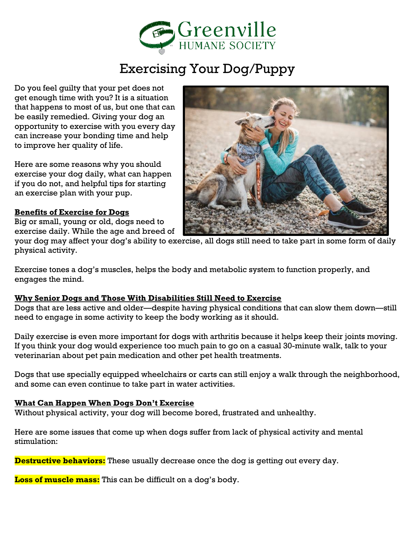

# Exercising Your Dog/Puppy

Do you feel guilty that your pet does not get enough time with you? It is a situation that happens to most of us, but one that can be easily remedied. Giving your dog an opportunity to exercise with you every day can increase your bonding time and help to improve her quality of life.

Here are some reasons why you should exercise your dog daily, what can happen if you do not, and helpful tips for starting an exercise plan with your pup.

#### **Benefits of Exercise for Dogs**

Big or small, young or old, dogs need to exercise daily. While the age and breed of



your dog may affect your dog's ability to exercise, all dogs still need to take part in some form of daily physical activity.

Exercise tones a dog's muscles, helps the body and metabolic system to function properly, and engages the mind.

#### **Why Senior Dogs and Those With Disabilities Still Need to Exercise**

Dogs that are less active and older—despite having physical conditions that can slow them down—still need to engage in some activity to keep the body working as it should.

Daily exercise is even more important for dogs with arthritis because it helps keep their joints moving. If you think your dog would experience too much pain to go on a casual 30-minute walk, talk to your veterinarian about pet pain medication and other pet health treatments.

Dogs that use specially equipped wheelchairs or carts can still enjoy a walk through the neighborhood, and some can even continue to take part in water activities.

#### **What Can Happen When Dogs Don't Exercise**

Without physical activity, your dog will become bored, frustrated and unhealthy.

Here are some issues that come up when dogs suffer from lack of physical activity and mental stimulation:

**Destructive behaviors:** These usually decrease once the dog is getting out every day.

**Loss of muscle mass:** This can be difficult on a dog's body.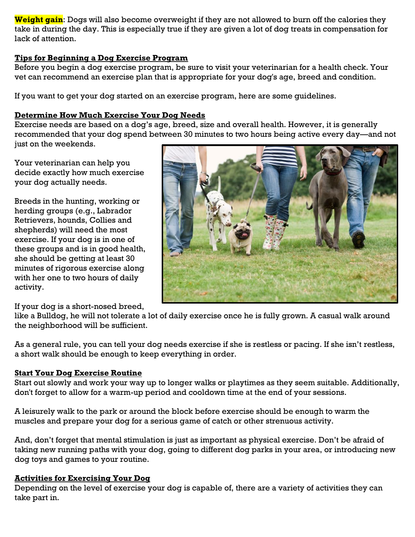**Weight gain**: Dogs will also become overweight if they are not allowed to burn off the calories they take in during the day. This is especially true if they are given a lot of dog treats in compensation for lack of attention.

## **Tips for Beginning a Dog Exercise Program**

Before you begin a dog exercise program, be sure to visit your veterinarian for a health check. Your vet can recommend an exercise plan that is appropriate for your dog's age, breed and condition.

If you want to get your dog started on an exercise program, here are some guidelines.

## **Determine How Much Exercise Your Dog Needs**

Exercise needs are based on a dog's age, breed, size and overall health. However, it is generally recommended that your dog spend between 30 minutes to two hours being active every day—and not just on the weekends.

Your veterinarian can help you decide exactly how much exercise your dog actually needs.

Breeds in the hunting, working or herding groups (e.g., Labrador Retrievers, hounds, Collies and shepherds) will need the most exercise. If your dog is in one of these groups and is in good health, she should be getting at least 30 minutes of rigorous exercise along with her one to two hours of daily activity.



If your dog is a short-nosed breed,

like a Bulldog, he will not tolerate a lot of daily exercise once he is fully grown. A casual walk around the neighborhood will be sufficient.

As a general rule, you can tell your dog needs exercise if she is restless or pacing. If she isn't restless, a short walk should be enough to keep everything in order.

## **Start Your Dog Exercise Routine**

Start out slowly and work your way up to longer walks or playtimes as they seem suitable. Additionally, don't forget to allow for a warm-up period and cooldown time at the end of your sessions.

A leisurely walk to the park or around the block before exercise should be enough to warm the muscles and prepare your dog for a serious game of catch or other strenuous activity.

And, don't forget that mental stimulation is just as important as physical exercise. Don't be afraid of taking new running paths with your dog, going to different dog parks in your area, or introducing new dog toys and games to your routine.

#### **Activities for Exercising Your Dog**

Depending on the level of exercise your dog is capable of, there are a variety of activities they can take part in.